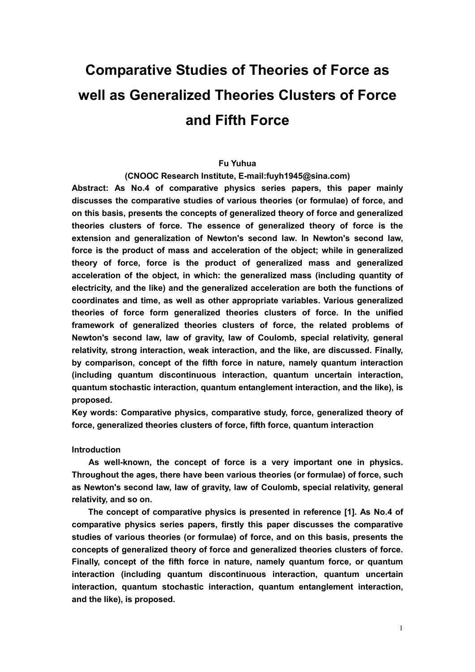# **Comparative Studies of Theories of Force as well as Generalized Theories Clusters of Force and Fifth Force**

## **Fu Yuhua**

**(CNOOC Research Institute, E-mail:fuyh1945@sina.com)** 

**Abstract: As No.4 of comparative physics series papers, this paper mainly discusses the comparative studies of various theories (or formulae) of force, and on this basis, presents the concepts of generalized theory of force and generalized theories clusters of force. The essence of generalized theory of force is the extension and generalization of Newton's second law. In Newton's second law, force is the product of mass and acceleration of the object; while in generalized theory of force, force is the product of generalized mass and generalized acceleration of the object, in which: the generalized mass (including quantity of electricity, and the like) and the generalized acceleration are both the functions of coordinates and time, as well as other appropriate variables. Various generalized theories of force form generalized theories clusters of force. In the unified framework of generalized theories clusters of force, the related problems of Newton's second law, law of gravity, law of Coulomb, special relativity, general relativity, strong interaction, weak interaction, and the like, are discussed. Finally, by comparison, concept of the fifth force in nature, namely quantum interaction (including quantum discontinuous interaction, quantum uncertain interaction, quantum stochastic interaction, quantum entanglement interaction, and the like), is proposed.** 

**Key words: Comparative physics, comparative study, force, generalized theory of force, generalized theories clusters of force, fifth force, quantum interaction** 

**Introduction** 

**As well-known, the concept of force is a very important one in physics. Throughout the ages, there have been various theories (or formulae) of force, such as Newton's second law, law of gravity, law of Coulomb, special relativity, general relativity, and so on.** 

**The concept of comparative physics is presented in reference [1]. As No.4 of comparative physics series papers, firstly this paper discusses the comparative studies of various theories (or formulae) of force, and on this basis, presents the concepts of generalized theory of force and generalized theories clusters of force. Finally, concept of the fifth force in nature, namely quantum force, or quantum interaction (including quantum discontinuous interaction, quantum uncertain interaction, quantum stochastic interaction, quantum entanglement interaction, and the like), is proposed.**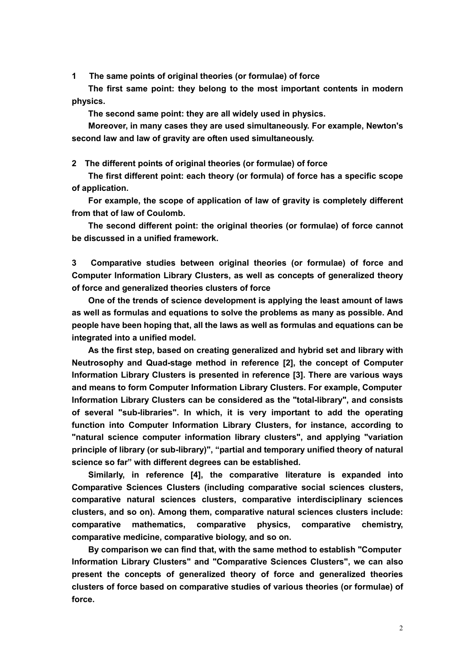**1 The same points of original theories (or formulae) of force**

**The first same point: they belong to the most important contents in modern physics.**

**The second same point: they are all widely used in physics.**

**Moreover, in many cases they are used simultaneously. For example, Newton's second law and law of gravity are often used simultaneously.**

**2 The different points of original theories (or formulae) of force**

**The first different point: each theory (or formula) of force has a specific scope of application.**

**For example, the scope of application of law of gravity is completely different from that of law of Coulomb.**

**The second different point: the original theories (or formulae) of force cannot be discussed in a unified framework.**

**3 Comparative studies between original theories (or formulae) of force and Computer Information Library Clusters, as well as concepts of generalized theory of force and generalized theories clusters of force**

**One of the trends of science development is applying the least amount of laws as well as formulas and equations to solve the problems as many as possible. And people have been hoping that, all the laws as well as formulas and equations can be integrated into a unified model.**

**As the first step, based on creating generalized and hybrid set and library with Neutrosophy and Quad-stage method in reference [2], the concept of Computer Information Library Clusters is presented in reference [3]. There are various ways and means to form Computer Information Library Clusters. For example, Computer Information Library Clusters can be considered as the "total-library", and consists of several "sub-libraries". In which, it is very important to add the operating function into Computer Information Library Clusters, for instance, according to "natural science computer information library clusters", and applying "variation principle of library (or sub-library)", "partial and temporary unified theory of natural science so far" with different degrees can be established.**

**Similarly, in reference [4], the comparative literature is expanded into Comparative Sciences Clusters (including comparative social sciences clusters, comparative natural sciences clusters, comparative interdisciplinary sciences clusters, and so on). Among them, comparative natural sciences clusters include: comparative mathematics, comparative physics, comparative chemistry, comparative medicine, comparative biology, and so on.**

**By comparison we can find that, with the same method to establish "Computer Information Library Clusters" and "Comparative Sciences Clusters", we can also present the concepts of generalized theory of force and generalized theories clusters of force based on comparative studies of various theories (or formulae) of force.**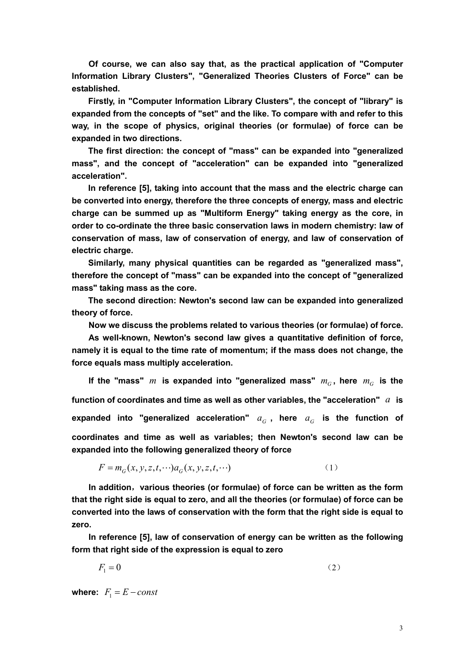**Of course, we can also say that, as the practical application of "Computer Information Library Clusters", "Generalized Theories Clusters of Force" can be established.**

**Firstly, in "Computer Information Library Clusters", the concept of "library" is expanded from the concepts of "set" and the like. To compare with and refer to this way, in the scope of physics, original theories (or formulae) of force can be expanded in two directions.**

**The first direction: the concept of "mass" can be expanded into "generalized mass", and the concept of "acceleration" can be expanded into "generalized acceleration".**

**In reference [5], taking into account that the mass and the electric charge can be converted into energy, therefore the three concepts of energy, mass and electric charge can be summed up as "Multiform Energy" taking energy as the core, in order to co-ordinate the three basic conservation laws in modern chemistry: law of conservation of mass, law of conservation of energy, and law of conservation of electric charge.**

**Similarly, many physical quantities can be regarded as "generalized mass", therefore the concept of "mass" can be expanded into the concept of "generalized mass" taking mass as the core.**

**The second direction: Newton's second law can be expanded into generalized theory of force.**

**Now we discuss the problems related to various theories (or formulae) of force.**

**As well-known, Newton's second law gives a quantitative definition of force, namely it is equal to the time rate of momentum; if the mass does not change, the force equals mass multiply acceleration.**

If the "mass" *m* is expanded into "generalized mass"  $m_G$ , here  $m_G$  is the **function of coordinates and time as well as other variables, the "acceleration"** *a* **is**  expanded into "generalized acceleration"  $a_G$ , here  $a_G$  is the function of **coordinates and time as well as variables; then Newton's second law can be expanded into the following generalized theory of force**

$$
F = m_G(x, y, z, t, \cdots) a_G(x, y, z, t, \cdots)
$$
 (1)

**In addition**,**various theories (or formulae) of force can be written as the form that the right side is equal to zero, and all the theories (or formulae) of force can be converted into the laws of conservation with the form that the right side is equal to zero.**

**In reference [5], law of conservation of energy can be written as the following form that right side of the expression is equal to zero**

$$
F_1 = 0 \tag{2}
$$

**where:**  $F_1 = E - const$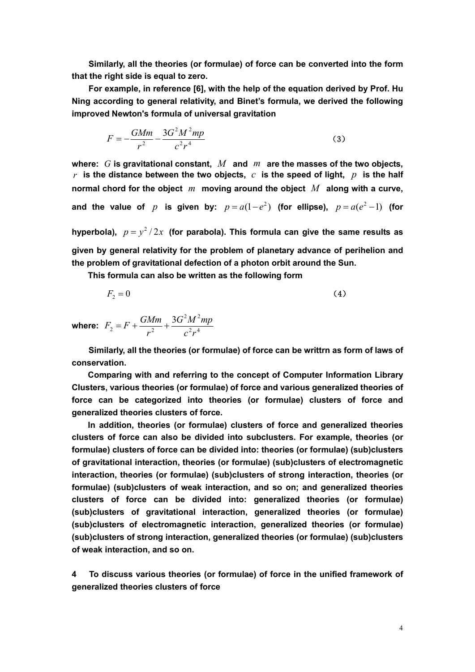**Similarly, all the theories (or formulae) of force can be converted into the form that the right side is equal to zero.**

**For example, in reference [6], with the help of the equation derived by Prof. Hu Ning according to general relativity, and Binet's formula, we derived the following improved Newton's formula of universal gravitation**

$$
F = -\frac{GMm}{r^2} - \frac{3G^2M^2mp}{c^2r^4}
$$
 (3)

**where:** *G* **is gravitational constant,** *M* **and** *m* **are the masses of the two objects,**   $r$  is the distance between the two objects,  $c$  is the speed of light,  $p$  is the half **normal chord for the object** *m* **moving around the object** *M* **along with a curve,**  and the value of  $p$  is given by:  $p = a(1-e^2)$  (for ellipse),  $p = a(e^2-1)$  (for

hyperbola),  $p = y^2/2x$  (for parabola). This formula can give the same results as **given by general relativity for the problem of planetary advance of perihelion and the problem of gravitational defection of a photon orbit around the Sun.**

**This formula can also be written as the following form**

$$
F_2 = 0 \tag{4}
$$

**where:**  $F_2 = F + \frac{9.444}{r^2} + \frac{9.944}{r^2}$  $2 \mu I^2$  $2^{-1}$   $\frac{1}{2}$ 3  $c^2r$  $G^2M^2mp$ *r*  $F_2 = F + \frac{GMm}{r^2} + \frac{3G^2M^2mp}{r^2}$ 

**Similarly, all the theories (or formulae) of force can be writtrn as form of laws of conservation.**

**Comparing with and referring to the concept of Computer Information Library Clusters, various theories (or formulae) of force and various generalized theories of force can be categorized into theories (or formulae) clusters of force and generalized theories clusters of force.**

**In addition, theories (or formulae) clusters of force and generalized theories clusters of force can also be divided into subclusters. For example, theories (or formulae) clusters of force can be divided into: theories (or formulae) (sub)clusters of gravitational interaction, theories (or formulae) (sub)clusters of electromagnetic interaction, theories (or formulae) (sub)clusters of strong interaction, theories (or formulae) (sub)clusters of weak interaction, and so on; and generalized theories clusters of force can be divided into: generalized theories (or formulae) (sub)clusters of gravitational interaction, generalized theories (or formulae) (sub)clusters of electromagnetic interaction, generalized theories (or formulae) (sub)clusters of strong interaction, generalized theories (or formulae) (sub)clusters of weak interaction, and so on.**

**4 To discuss various theories (or formulae) of force in the unified framework of generalized theories clusters of force**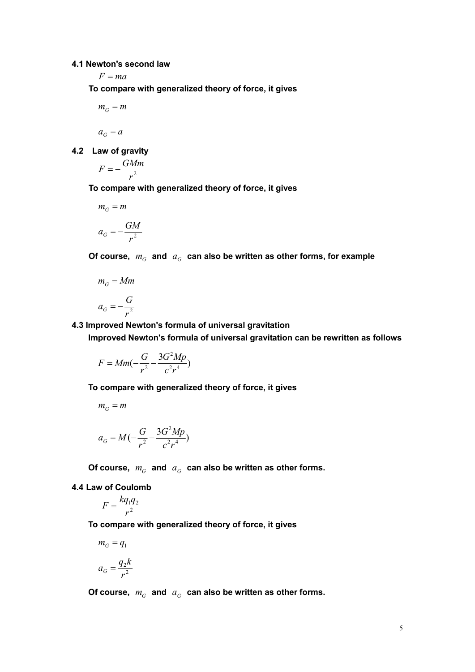# **4.1 Newton's second law**

 $F = ma$ 

**To compare with generalized theory of force, it gives**

$$
m_G^{}=m
$$

$$
a_G = a
$$

**4.2 Law of gravity**

$$
F = -\frac{GMm}{r^2}
$$

**To compare with generalized theory of force, it gives**

$$
m_G = m
$$

$$
a_G = -\frac{GM}{r^2}
$$

Of course,  $m_G$  and  $a_G$  can also be written as other forms, for example

$$
m_G = Mm
$$

$$
a_G = -\frac{G}{r^2}
$$

**4.3 Improved Newton's formula of universal gravitation**

**Improved Newton's formula of universal gravitation can be rewritten as follows**

$$
F = Mm(-\frac{G}{r^2} - \frac{3G^2Mp}{c^2r^4})
$$

**To compare with generalized theory of force, it gives**

$$
m_G = m
$$
  

$$
a_G = M\left(-\frac{G}{r^2} - \frac{3G^2Mp}{c^2r^4}\right)
$$

Of course,  $m_G$  and  $a_G$  can also be written as other forms.

## **4.4 Law of Coulomb**

$$
F = \frac{kq_1q_2}{r^2}
$$

**To compare with generalized theory of force, it gives**

$$
m_G = q_1
$$

$$
a_G = \frac{q_2 k}{a^2}
$$

2

*r*

Of course,  $m_G$  and  $a_G$  can also be written as other forms.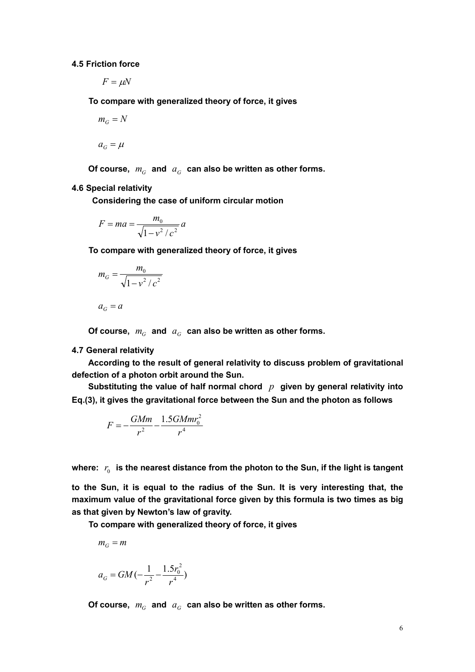**4.5 Friction force**

 $F = \mu N$ 

**To compare with generalized theory of force, it gives**

$$
m_G = N
$$

 $a_G = \mu$ 

Of course,  $m_G$  and  $a_G$  can also be written as other forms.

# **4.6 Special relativity**

**Considering the case of uniform circular motion**

$$
F = ma = \frac{m_0}{\sqrt{1 - v^2/c^2}} a
$$

**To compare with generalized theory of force, it gives**

$$
m_G = \frac{m_0}{\sqrt{1 - v^2/c^2}}
$$

$$
a_{\scriptscriptstyle G}=a
$$

Of course,  $m_G$  and  $a_G$  can also be written as other forms.

## **4.7 General relativity**

**According to the result of general relativity to discuss problem of gravitational defection of a photon orbit around the Sun.**

**Substituting the value of half normal chord** *p* **given by general relativity into Eq.(3), it gives the gravitational force between the Sun and the photon as follows**

$$
F = -\frac{GMm}{r^2} - \frac{1.5GMmr_0^2}{r^4}
$$

where:  $r_0$  is the nearest distance from the photon to the Sun, if the light is tangent

**to the Sun, it is equal to the radius of the Sun. It is very interesting that, the maximum value of the gravitational force given by this formula is two times as big as that given by Newton's law of gravity.**

**To compare with generalized theory of force, it gives**

$$
m_G = m
$$

$$
a_G = GM(-\frac{1}{r^2} - \frac{1.5r_0^2}{r^4})
$$

Of course,  $m_G$  and  $a_G$  can also be written as other forms.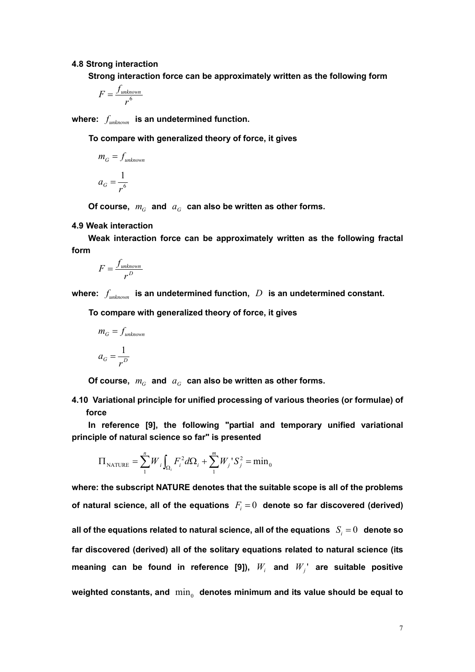#### **4.8 Strong interaction**

**Strong interaction force can be approximately written as the following form**

$$
F = \frac{f_{unknown}}{r^6}
$$

**where:** *unknown f* **is an undetermined function.** 

**To compare with generalized theory of force, it gives**

$$
m_G = f_{unknown}
$$

$$
a_G = \frac{1}{r^6}
$$

Of course,  $m_G$  and  $a_G$  can also be written as other forms.

## **4.9 Weak interaction**

**Weak interaction force can be approximately written as the following fractal form**

$$
F = \frac{f_{unknown}}{r^D}
$$

where:  $f_{unknown}$  is an undetermined function,  $D$  is an undetermined constant.

**To compare with generalized theory of force, it gives**

$$
m_G = f_{unknown}
$$

$$
a_G = \frac{1}{r^D}
$$

Of course,  $m_G$  and  $a_G$  can also be written as other forms.

**4.10 Variational principle for unified processing of various theories (or formulae) of force**

**In reference [9], the following "partial and temporary unified variational principle of natural science so far" is presented**

$$
\Pi_{\text{NATURE}} = \sum_{1}^{n} W_i \int_{\Omega_i} F_i^2 d\Omega_i + \sum_{1}^{m} W_j^{\dagger} S_j^2 = \min_0
$$

**where: the subscript NATURE denotes that the suitable scope is all of the problems**  of natural science, all of the equations  $F_i = 0$  denote so far discovered (derived) all of the equations related to natural science, all of the equations  $S_i = 0$  denote so **far discovered (derived) all of the solitary equations related to natural science (its meaning can be found in reference [9]),**  $W_i$  **and**  $W_i$ **' are suitable positive** weighted constants, and  $\min_{0}$  denotes minimum and its value should be equal to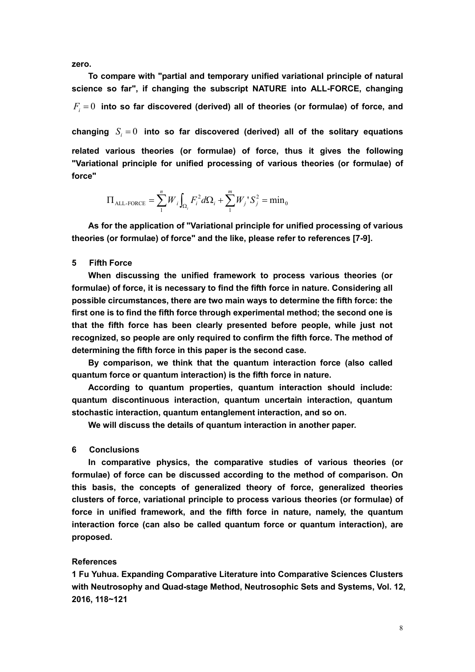**zero.**

**force"**

**To compare with "partial and temporary unified variational principle of natural science so far", if changing the subscript NATURE into ALL-FORCE, changing**  $F<sub>i</sub> = 0$  into so far discovered (derived) all of theories (or formulae) of force, and changing  $S_i = 0$  into so far discovered (derived) all of the solitary equations **related various theories (or formulae) of force, thus it gives the following "Variational principle for unified processing of various theories (or formulae) of** 

$$
\Pi_{\text{ALL-FORCE}} = \sum_{1}^{n} W_{i} \int_{\Omega_{i}} F_{i}^{2} d\Omega_{i} + \sum_{1}^{m} W_{j}^{*} S_{j}^{2} = \min_{0}
$$

**As for the application of "Variational principle for unified processing of various theories (or formulae) of force" and the like, please refer to references [7-9].**

## **5 Fifth Force**

**When discussing the unified framework to process various theories (or formulae) of force, it is necessary to find the fifth force in nature. Considering all possible circumstances, there are two main ways to determine the fifth force: the first one is to find the fifth force through experimental method; the second one is that the fifth force has been clearly presented before people, while just not recognized, so people are only required to confirm the fifth force. The method of determining the fifth force in this paper is the second case.**

**By comparison, we think that the quantum interaction force (also called quantum force or quantum interaction) is the fifth force in nature.**

**According to quantum properties, quantum interaction should include: quantum discontinuous interaction, quantum uncertain interaction, quantum stochastic interaction, quantum entanglement interaction, and so on.**

**We will discuss the details of quantum interaction in another paper.**

#### **6 Conclusions**

**In comparative physics, the comparative studies of various theories (or formulae) of force can be discussed according to the method of comparison. On this basis, the concepts of generalized theory of force, generalized theories clusters of force, variational principle to process various theories (or formulae) of force in unified framework, and the fifth force in nature, namely, the quantum interaction force (can also be called quantum force or quantum interaction), are proposed.**

## **References**

**1 Fu Yuhua. Expanding Comparative Literature into Comparative Sciences Clusters with Neutrosophy and Quad-stage Method, Neutrosophic Sets and Systems, Vol. 12, 2016, 118~121**